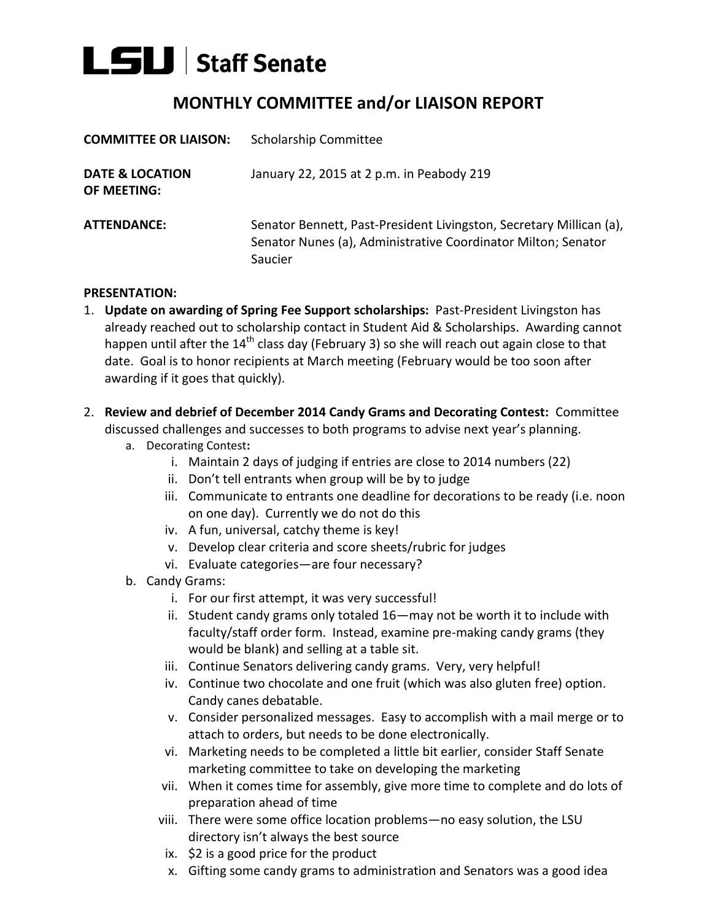## $L$ SLI Staff Senate

## **MONTHLY COMMITTEE and/or LIAISON REPORT**

| <b>COMMITTEE OR LIAISON:</b>                     | <b>Scholarship Committee</b>                                                                                                                    |
|--------------------------------------------------|-------------------------------------------------------------------------------------------------------------------------------------------------|
| <b>DATE &amp; LOCATION</b><br><b>OF MEETING:</b> | January 22, 2015 at 2 p.m. in Peabody 219                                                                                                       |
| <b>ATTENDANCE:</b>                               | Senator Bennett, Past-President Livingston, Secretary Millican (a),<br>Senator Nunes (a), Administrative Coordinator Milton; Senator<br>Saucier |

## **PRESENTATION:**

- 1. **Update on awarding of Spring Fee Support scholarships:** Past-President Livingston has already reached out to scholarship contact in Student Aid & Scholarships. Awarding cannot happen until after the 14<sup>th</sup> class day (February 3) so she will reach out again close to that date. Goal is to honor recipients at March meeting (February would be too soon after awarding if it goes that quickly).
- 2. **Review and debrief of December 2014 Candy Grams and Decorating Contest:** Committee discussed challenges and successes to both programs to advise next year's planning.
	- a. Decorating Contest**:**
		- i. Maintain 2 days of judging if entries are close to 2014 numbers (22)
		- ii. Don't tell entrants when group will be by to judge
		- iii. Communicate to entrants one deadline for decorations to be ready (i.e. noon on one day). Currently we do not do this
		- iv. A fun, universal, catchy theme is key!
		- v. Develop clear criteria and score sheets/rubric for judges
		- vi. Evaluate categories—are four necessary?
	- b. Candy Grams:
		- i. For our first attempt, it was very successful!
		- ii. Student candy grams only totaled 16—may not be worth it to include with faculty/staff order form. Instead, examine pre-making candy grams (they would be blank) and selling at a table sit.
		- iii. Continue Senators delivering candy grams. Very, very helpful!
		- iv. Continue two chocolate and one fruit (which was also gluten free) option. Candy canes debatable.
		- v. Consider personalized messages. Easy to accomplish with a mail merge or to attach to orders, but needs to be done electronically.
		- vi. Marketing needs to be completed a little bit earlier, consider Staff Senate marketing committee to take on developing the marketing
		- vii. When it comes time for assembly, give more time to complete and do lots of preparation ahead of time
		- viii. There were some office location problems—no easy solution, the LSU directory isn't always the best source
		- ix. \$2 is a good price for the product
		- x. Gifting some candy grams to administration and Senators was a good idea